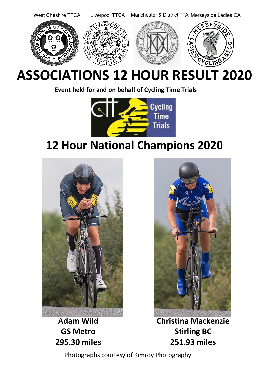

# **ASSOCIATIONS 12 HOUR RESULT 2020**

**Event held for and on behalf of Cycling Time Trials**



## **12 Hour National Champions 2020**



**Adam Wild GS Metro 295.30 miles**



**Christina Mackenzie Stirling BC 251.93 miles**

Photographs courtesy of Kimroy Photography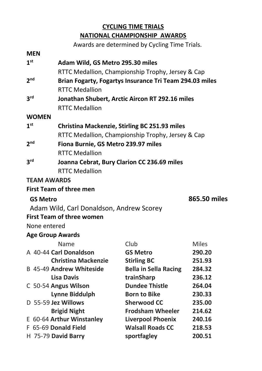## **CYCLING TIME TRIALS NATIONAL CHAMPIONSHIP AWARDS**

Awards are determined by Cycling Time Trials. **MEN 1 st Adam Wild, GS Metro 295.30 miles** RTTC Medallion, Championship Trophy, Jersey & Cap  $2<sup>nd</sup>$ **nd Brian Fogarty, Fogartys Insurance Tri Team 294.03 miles** RTTC Medallion **3 rd Jonathan Shubert, Arctic Aircon RT 292.16 miles** RTTC Medallion **WOMEN 1 st Christina Mackenzie, Stirling BC 251.93 miles** RTTC Medallion, Championship Trophy, Jersey & Cap **2 nd Fiona Burnie, GS Metro 239.97 miles** RTTC Medallion **3 rd Joanna Cebrat, Bury Clarion CC 236.69 miles** RTTC Medallion **TEAM AWARDS First Team of three men GS Metro 865.50 miles** Adam Wild, Carl Donaldson, Andrew Scorey **First Team of three women** None entered **Age Group Awards** Name Club Club Miles A 40-44 **Carl Donaldson GS Metro 290.20 Christina Mackenzie Stirling BC 251.93**

| <b>Christina Mackenzie</b>      | <b>Stirling BC</b>           | 251.93 |
|---------------------------------|------------------------------|--------|
| <b>B 45-49 Andrew Whiteside</b> | <b>Bella in Sella Racing</b> | 284.32 |
| <b>Lisa Davis</b>               | trainSharp                   | 236.12 |
| C 50-54 Angus Wilson            | <b>Dundee Thistle</b>        | 264.04 |
| <b>Lynne Biddulph</b>           | <b>Born to Bike</b>          | 230.33 |
| D 55-59 Jez Willows             | <b>Sherwood CC</b>           | 235.00 |
| <b>Brigid Night</b>             | <b>Frodsham Wheeler</b>      | 214.62 |
| E 60-64 Arthur Winstanley       | <b>Liverpool Phoenix</b>     | 240.16 |
| F 65-69 Donald Field            | <b>Walsall Roads CC</b>      | 218.53 |
| H 75-79 David Barry             | sportfagley                  | 200.51 |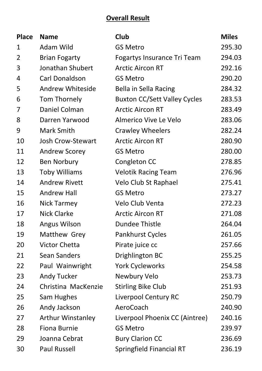## **Overall Result**

| <b>Place</b>   | <b>Name</b>          | <b>Club</b>                         | <b>Miles</b> |
|----------------|----------------------|-------------------------------------|--------------|
| 1              | Adam Wild            | <b>GS Metro</b>                     | 295.30       |
| $\overline{2}$ | <b>Brian Fogarty</b> | Fogartys Insurance Tri Team         | 294.03       |
| 3              | Jonathan Shubert     | <b>Arctic Aircon RT</b>             | 292.16       |
| 4              | Carl Donaldson       | <b>GS Metro</b>                     | 290.20       |
| 5              | Andrew Whiteside     | Bella in Sella Racing               | 284.32       |
| 6              | Tom Thornely         | <b>Buxton CC/Sett Valley Cycles</b> | 283.53       |
| 7              | Daniel Colman        | <b>Arctic Aircon RT</b>             | 283.49       |
| 8              | Darren Yarwood       | Almerico Vive Le Velo               | 283.06       |
| 9              | Mark Smith           | <b>Crawley Wheelers</b>             | 282.24       |
| 10             | Josh Crow-Stewart    | <b>Arctic Aircon RT</b>             | 280.90       |
| 11             | Andrew Scorey        | <b>GS Metro</b>                     | 280.00       |
| 12             | <b>Ben Norbury</b>   | Congleton CC                        | 278.85       |
| 13             | <b>Toby Williams</b> | <b>Velotik Racing Team</b>          | 276.96       |
| 14             | <b>Andrew Rivett</b> | Velo Club St Raphael                | 275.41       |
| 15             | <b>Andrew Hall</b>   | <b>GS Metro</b>                     | 273.27       |
| 16             | Nick Tarmey          | Velo Club Venta                     | 272.23       |
| 17             | <b>Nick Clarke</b>   | <b>Arctic Aircon RT</b>             | 271.08       |
| 18             | Angus Wilson         | <b>Dundee Thistle</b>               | 264.04       |
| 19             | Matthew Grey         | Pankhurst Cycles                    | 261.05       |
| 20             | <b>Victor Chetta</b> | Pirate juice cc                     | 257.66       |
| 21             | Sean Sanders         | Drighlington BC                     | 255.25       |
| 22             | Paul Wainwright      | <b>York Cycleworks</b>              | 254.58       |
| 23             | Andy Tucker          | Newbury Velo                        | 253.73       |
| 24             | Christina MacKenzie  | <b>Stirling Bike Club</b>           | 251.93       |
| 25             | Sam Hughes           | Liverpool Century RC                | 250.79       |
| 26             | Andy Jackson         | AeroCoach                           | 240.90       |
| 27             | Arthur Winstanley    | Liverpool Phoenix CC (Aintree)      | 240.16       |
| 28             | Fiona Burnie         | <b>GS Metro</b>                     | 239.97       |
| 29             | Joanna Cebrat        | <b>Bury Clarion CC</b>              | 236.69       |
| 30             | Paul Russell         | Springfield Financial RT            | 236.19       |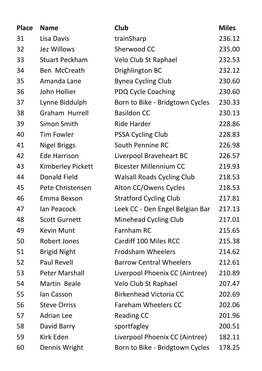| <b>Place</b> | <b>Name</b>           | Club                              | <b>Miles</b> |
|--------------|-----------------------|-----------------------------------|--------------|
| 31           | Lisa Davis            | trainSharp                        | 236.12       |
| 32           | Jez Willows           | Sherwood CC                       | 235.00       |
| 33           | <b>Stuart Peckham</b> | Velo Club St Raphael              | 232.53       |
| 34           | Ben McCreath          | Drighlington BC                   | 232.12       |
| 35           | Amanda Lane           | <b>Bynea Cycling Club</b>         | 230.60       |
| 36           | John Hollier          | PDQ Cycle Coaching                | 230.60       |
| 37           | Lynne Biddulph        | Born to Bike - Bridgtown Cycles   | 230.33       |
| 38           | Graham Hurrell        | <b>Basildon CC</b>                | 230.13       |
| 39           | Simon Smith           | Ride Harder                       | 228.86       |
| 40           | <b>Tim Fowler</b>     | PSSA Cycling Club                 | 228.83       |
| 41           | <b>Nigel Briggs</b>   | South Pennine RC                  | 226.98       |
| 42           | <b>Ede Harrison</b>   | Liverpool Braveheart BC           | 226.57       |
| 43           | Kimberley Pickett     | <b>Bicester Millennium CC</b>     | 219.93       |
| 44           | Donald Field          | <b>Walsall Roads Cycling Club</b> | 218.53       |
| 45           | Pete Christensen      | Alton CC/Owens Cycles             | 218.53       |
| 46           | Emma Bexson           | <b>Stratford Cycling Club</b>     | 217.81       |
| 47           | Ian Peacock           | Leek CC - Den Engel Belgian Bar   | 217.13       |
| 48           | <b>Scott Gurnett</b>  | Minehead Cycling Club             | 217.01       |
| 49           | Kevin Munt            | Farnham RC                        | 215.65       |
| 50           | Robert Jones          | Cardiff 100 Miles RCC             | 215.38       |
| 51           | <b>Brigid Night</b>   | <b>Frodsham Wheelers</b>          | 214.62       |
| 52           | <b>Paul Revell</b>    | <b>Barrow Central Wheelers</b>    | 212.61       |
| 53           | Peter Marshall        | Liverpool Phoenix CC (Aintree)    | 210.89       |
| 54           | Martin Beale          | Velo Club St Raphael              | 207.47       |
| 55           | Ian Casson            | <b>Birkenhead Victoria CC</b>     | 202.69       |
| 56           | <b>Steve Orriss</b>   | <b>Fareham Wheelers CC</b>        | 202.06       |
| 57           | <b>Adrian Lee</b>     | <b>Reading CC</b>                 | 201.96       |
| 58           | David Barry           | sportfagley                       | 200.51       |
| 59           | Kirk Eden             | Liverpool Phoenix CC (Aintree)    | 182.11       |
| 60           | Dennis Wright         | Born to Bike - Bridgtown Cycles   | 178.25       |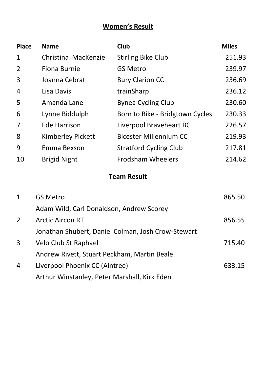## **Women's Result**

| <b>Place</b>   | <b>Name</b>                                        | Club                            | <b>Miles</b> |
|----------------|----------------------------------------------------|---------------------------------|--------------|
| 1              | Christina MacKenzie                                | <b>Stirling Bike Club</b>       | 251.93       |
| $\overline{2}$ | Fiona Burnie                                       | <b>GS Metro</b>                 | 239.97       |
| 3              | Joanna Cebrat                                      | <b>Bury Clarion CC</b>          | 236.69       |
| 4              | Lisa Davis                                         | trainSharp                      | 236.12       |
| 5              | Amanda Lane                                        | <b>Bynea Cycling Club</b>       | 230.60       |
| 6              | Lynne Biddulph                                     | Born to Bike - Bridgtown Cycles | 230.33       |
| 7              | <b>Ede Harrison</b>                                | Liverpool Braveheart BC         | 226.57       |
| 8              | Kimberley Pickett                                  | <b>Bicester Millennium CC</b>   | 219.93       |
| 9              | Emma Bexson                                        | <b>Stratford Cycling Club</b>   | 217.81       |
| 10             | <b>Brigid Night</b>                                | <b>Frodsham Wheelers</b>        | 214.62       |
|                |                                                    | <b>Team Result</b>              |              |
| 1              | <b>GS Metro</b>                                    |                                 | 865.50       |
|                | Adam Wild, Carl Donaldson, Andrew Scorey           |                                 |              |
| $\overline{2}$ | <b>Arctic Aircon RT</b>                            |                                 | 856.55       |
|                | Jonathan Shubert, Daniel Colman, Josh Crow-Stewart |                                 |              |
| 3              | Velo Club St Raphael                               |                                 | 715.40       |
|                | Andrew Rivett, Stuart Peckham, Martin Beale        |                                 |              |
| 4              | Liverpool Phoenix CC (Aintree)                     |                                 | 633.15       |
|                | Arthur Winstanley, Peter Marshall, Kirk Eden       |                                 |              |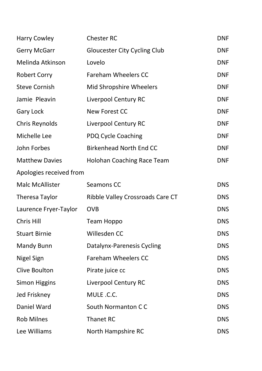| <b>Harry Cowley</b>     | <b>Chester RC</b>                   | DNF        |
|-------------------------|-------------------------------------|------------|
| Gerry McGarr            | <b>Gloucester City Cycling Club</b> | DNF        |
| Melinda Atkinson        | Lovelo                              | DNF        |
| <b>Robert Corry</b>     | <b>Fareham Wheelers CC</b>          | DNF        |
| <b>Steve Cornish</b>    | Mid Shropshire Wheelers             | DNF        |
| Jamie Pleavin           | Liverpool Century RC                | DNF        |
| Gary Lock               | New Forest CC                       | DNF        |
| Chris Reynolds          | Liverpool Century RC                | DNF        |
| Michelle Lee            | PDQ Cycle Coaching                  | DNF        |
| John Forbes             | <b>Birkenhead North End CC</b>      | DNF        |
| <b>Matthew Davies</b>   | Holohan Coaching Race Team          | DNF        |
| Apologies received from |                                     |            |
| Malc McAllister         | Seamons CC                          | <b>DNS</b> |
| Theresa Taylor          | Ribble Valley Crossroads Care CT    | DNS        |
| Laurence Fryer-Taylor   | <b>OVB</b>                          | <b>DNS</b> |
| Chris Hill              | Team Hoppo                          | <b>DNS</b> |
| <b>Stuart Birnie</b>    | Willesden CC                        | <b>DNS</b> |
| Mandy Bunn              | Datalynx-Parenesis Cycling          | <b>DNS</b> |
| Nigel Sign              | <b>Fareham Wheelers CC</b>          | <b>DNS</b> |
| Clive Boulton           | Pirate juice cc                     | DNS        |
| Simon Higgins           | Liverpool Century RC                | <b>DNS</b> |
| Jed Friskney            | MULE .C.C.                          | DNS        |
| Daniel Ward             | South Normanton CC                  | <b>DNS</b> |
| <b>Rob Milnes</b>       | <b>Thanet RC</b>                    | DNS        |
| Lee Williams            | North Hampshire RC                  | <b>DNS</b> |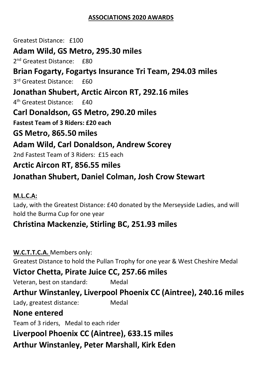#### **ASSOCIATIONS 2020 AWARDS**

Greatest Distance: £100 **Adam Wild, GS Metro, 295.30 miles** 2<sup>nd</sup> Greatest Distance: £80 **Brian Fogarty, Fogartys Insurance Tri Team, 294.03 miles** 3<sup>rd</sup> Greatest Distance: £60 **Jonathan Shubert, Arctic Aircon RT, 292.16 miles** 4<sup>th</sup> Greatest Distance: £40 **Carl Donaldson, GS Metro, 290.20 miles Fastest Team of 3 Riders: £20 each GS Metro, 865.50 miles Adam Wild, Carl Donaldson, Andrew Scorey** 2nd Fastest Team of 3 Riders: £15 each **Arctic Aircon RT, 856.55 miles Jonathan Shubert, Daniel Colman, Josh Crow Stewart**

#### **M.L.C.A:**

Lady, with the Greatest Distance: £40 donated by the Merseyside Ladies, and will hold the Burma Cup for one year

## **Christina Mackenzie, Stirling BC, 251.93 miles**

**W.C.T.T.C.A.** Members only: Greatest Distance to hold the Pullan Trophy for one year & West Cheshire Medal **Victor Chetta, Pirate Juice CC, 257.66 miles** Veteran, best on standard: Medal **Arthur Winstanley, Liverpool Phoenix CC (Aintree), 240.16 miles** Lady, greatest distance: Medal **None entered**

Team of 3 riders, Medal to each rider **Liverpool Phoenix CC (Aintree), 633.15 miles Arthur Winstanley, Peter Marshall, Kirk Eden**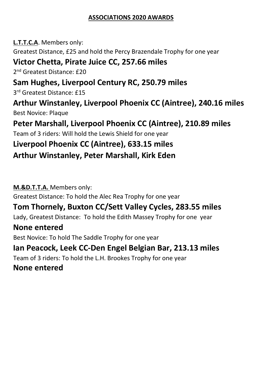#### **ASSOCIATIONS 2020 AWARDS**

**L.T.T.C.A**. Members only: Greatest Distance, £25 and hold the Percy Brazendale Trophy for one year **Victor Chetta, Pirate Juice CC, 257.66 miles** 2<sup>nd</sup> Greatest Distance: £20 **Sam Hughes, Liverpool Century RC, 250.79 miles** 3 rd Greatest Distance: £15 **Arthur Winstanley, Liverpool Phoenix CC (Aintree), 240.16 miles** Best Novice: Plaque **Peter Marshall, Liverpool Phoenix CC (Aintree), 210.89 miles** Team of 3 riders: Will hold the Lewis Shield for one year **Liverpool Phoenix CC (Aintree), 633.15 miles Arthur Winstanley, Peter Marshall, Kirk Eden**

**M.&D.T.T.A.** Members only: Greatest Distance: To hold the Alec Rea Trophy for one year

## **Tom Thornely, Buxton CC/Sett Valley Cycles, 283.55 miles**

Lady, Greatest Distance: To hold the Edith Massey Trophy for one year

## **None entered**

Best Novice: To hold The Saddle Trophy for one year

**Ian Peacock, Leek CC-Den Engel Belgian Bar, 213.13 miles**

Team of 3 riders: To hold the L.H. Brookes Trophy for one year

## **None entered**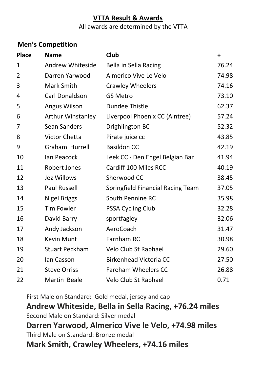## **VTTA Result & Awards** All awards are determined by the VTTA

## **Men's Competition**

| <b>Place</b> | <b>Name</b>           | Club                              | $\ddot{}$ |
|--------------|-----------------------|-----------------------------------|-----------|
| 1            | Andrew Whiteside      | Bella in Sella Racing             | 76.24     |
| 2            | Darren Yarwood        | Almerico Vive Le Velo             | 74.98     |
| 3            | Mark Smith            | <b>Crawley Wheelers</b>           | 74.16     |
| 4            | Carl Donaldson        | <b>GS Metro</b>                   | 73.10     |
| 5            | Angus Wilson          | <b>Dundee Thistle</b>             | 62.37     |
| 6            | Arthur Winstanley     | Liverpool Phoenix CC (Aintree)    | 57.24     |
| 7            | Sean Sanders          | Drighlington BC                   | 52.32     |
| 8            | Victor Chetta         | Pirate juice cc                   | 43.85     |
| 9            | Graham Hurrell        | <b>Basildon CC</b>                | 42.19     |
| 10           | lan Peacock           | Leek CC - Den Engel Belgian Bar   | 41.94     |
| 11           | Robert Jones          | Cardiff 100 Miles RCC             | 40.19     |
| 12           | Jez Willows           | Sherwood CC                       | 38.45     |
| 13           | Paul Russell          | Springfield Financial Racing Team | 37.05     |
| 14           | <b>Nigel Briggs</b>   | South Pennine RC                  | 35.98     |
| 15           | <b>Tim Fowler</b>     | PSSA Cycling Club                 | 32.28     |
| 16           | David Barry           | sportfagley                       | 32.06     |
| 17           | Andy Jackson          | AeroCoach                         | 31.47     |
| 18           | <b>Kevin Munt</b>     | Farnham RC                        | 30.98     |
| 19           | <b>Stuart Peckham</b> | Velo Club St Raphael              | 29.60     |
| 20           | lan Casson            | <b>Birkenhead Victoria CC</b>     | 27.50     |
| 21           | <b>Steve Orriss</b>   | Fareham Wheelers CC               | 26.88     |
| 22           | Martin Beale          | Velo Club St Raphael              | 0.71      |

First Male on Standard: Gold medal, jersey and cap

**Andrew Whiteside, Bella in Sella Racing, +76.24 miles** Second Male on Standard: Silver medal **Darren Yarwood, Almerico Vive le Velo, +74.98 miles** Third Male on Standard: Bronze medal **Mark Smith, Crawley Wheelers, +74.16 miles**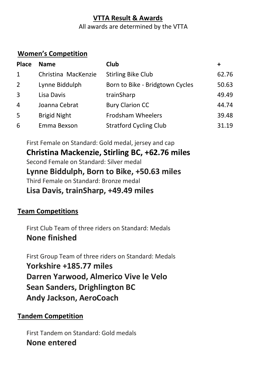## **VTTA Result & Awards**

#### All awards are determined by the VTTA

#### **Women's Competition**

| <b>Place</b>   | <b>Name</b>         | Club                            | ٠     |
|----------------|---------------------|---------------------------------|-------|
| $\mathbf{1}$   | Christina MacKenzie | <b>Stirling Bike Club</b>       | 62.76 |
| $\overline{2}$ | Lynne Biddulph      | Born to Bike - Bridgtown Cycles | 50.63 |
| 3              | Lisa Davis          | trainSharp                      | 49.49 |
| 4              | Joanna Cebrat       | <b>Bury Clarion CC</b>          | 44.74 |
| 5              | <b>Brigid Night</b> | Frodsham Wheelers               | 39.48 |
| 6              | Emma Bexson         | <b>Stratford Cycling Club</b>   | 31.19 |

First Female on Standard: Gold medal, jersey and cap **Christina Mackenzie, Stirling BC, +62.76 miles** Second Female on Standard: Silver medal **Lynne Biddulph, Born to Bike, +50.63 miles** Third Female on Standard: Bronze medal

**Lisa Davis, trainSharp, +49.49 miles**

## **Team Competitions**

First Club Team of three riders on Standard: Medals **None finished**

First Group Team of three riders on Standard: Medals **Yorkshire +185.77 miles Darren Yarwood, Almerico Vive le Velo Sean Sanders, Drighlington BC Andy Jackson, AeroCoach**

## **Tandem Competition**

First Tandem on Standard: Gold medals **None entered**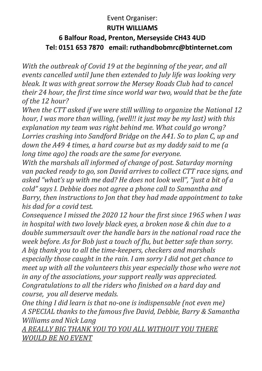#### Event Organiser: **RUTH WILLIAMS**

## **6 Balfour Road, Prenton, Merseyside CH43 4UD Tel: 0151 653 7870 email: ruthandbobmrc@btinternet.com**

*With the outbreak of Covid 19 at the beginning of the year, and all events cancelled until June then extended to July life was looking very bleak. It was with great sorrow the Mersey Roads Club had to cancel their 24 hour, the first time since world war two, would that be the fate of the 12 hour?*

*When the CTT asked if we were still willing to organize the National 12 hour, I was more than willing, (well!! it just may be my last) with this explanation my team was right behind me. What could go wrong? Lorries crashing into Sandford Bridge on the A41. So to plan C, up and down the A49 4 times, a hard course but as my daddy said to me (a long time ago) the roads are the same for everyone.*

*With the marshals all informed of change of post. Saturday morning van packed ready to go, son David arrives to collect CTT race signs, and asked "what's up with me dad? He does not look well", "just a bit of a cold" says I. Debbie does not agree a phone call to Samantha and Barry, then instructions to Jon that they had made appointment to take his dad for a covid test.*

*Consequence I missed the 2020 12 hour the first since 1965 when I was in hospital with two lovely black eyes, a broken nose & chin due to a double summersault over the handle bars in the national road race the week before. As for Bob just a touch of flu, but better safe than sorry. A big thank you to all the time-keepers, checkers and marshals especially those caught in the rain. I am sorry I did not get chance to meet up with all the volunteers this year especially those who were not in any of the associations, your support really was appreciated. Congratulations to all the riders who finished on a hard day and course, you all deserve medals.*

*One thing I did learn is that no-one is indispensable (not even me) A SPECIAL thanks to the famous five David, Debbie, Barry & Samantha Williams and Nick Lang*

*A REALLY BIG THANK YOU TO YOU ALL WITHOUT YOU THERE WOULD BE NO EVENT*